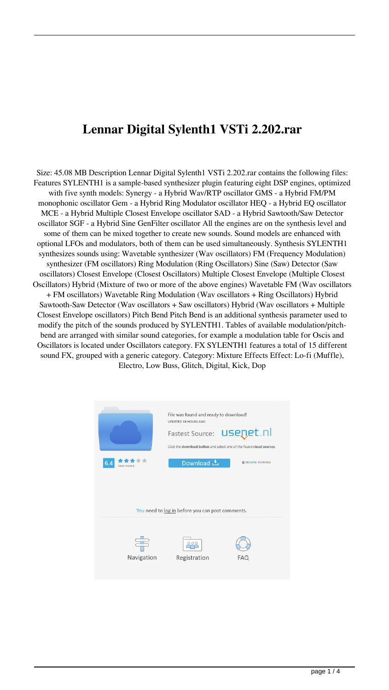## **Lennar Digital Sylenth1 VSTi 2.202.rar**

Size: 45.08 MB Description Lennar Digital Sylenth1 VSTi 2.202.rar contains the following files: Features SYLENTH1 is a sample-based synthesizer plugin featuring eight DSP engines, optimized with five synth models: Synergy - a Hybrid Wav/RTP oscillator GMS - a Hybrid FM/PM monophonic oscillator Gem - a Hybrid Ring Modulator oscillator HEQ - a Hybrid EQ oscillator MCE - a Hybrid Multiple Closest Envelope oscillator SAD - a Hybrid Sawtooth/Saw Detector oscillator SGF - a Hybrid Sine GenFilter oscillator All the engines are on the synthesis level and some of them can be mixed together to create new sounds. Sound models are enhanced with optional LFOs and modulators, both of them can be used simultaneously. Synthesis SYLENTH1 synthesizes sounds using: Wavetable synthesizer (Wav oscillators) FM (Frequency Modulation) synthesizer (FM oscillators) Ring Modulation (Ring Oscillators) Sine (Saw) Detector (Saw oscillators) Closest Envelope (Closest Oscillators) Multiple Closest Envelope (Multiple Closest Oscillators) Hybrid (Mixture of two or more of the above engines) Wavetable FM (Wav oscillators + FM oscillators) Wavetable Ring Modulation (Wav oscillators + Ring Oscillators) Hybrid Sawtooth-Saw Detector (Wav oscillators + Saw oscillators) Hybrid (Wav oscillators + Multiple Closest Envelope oscillators) Pitch Bend Pitch Bend is an additional synthesis parameter used to modify the pitch of the sounds produced by SYLENTH1. Tables of available modulation/pitchbend are arranged with similar sound categories, for example a modulation table for Oscis and Oscillators is located under Oscillators category. FX SYLENTH1 features a total of 15 different sound FX, grouped with a generic category. Category: Mixture Effects Effect: Lo-fi (Muffle), Electro, Low Buss, Glitch, Digital, Kick, Dop

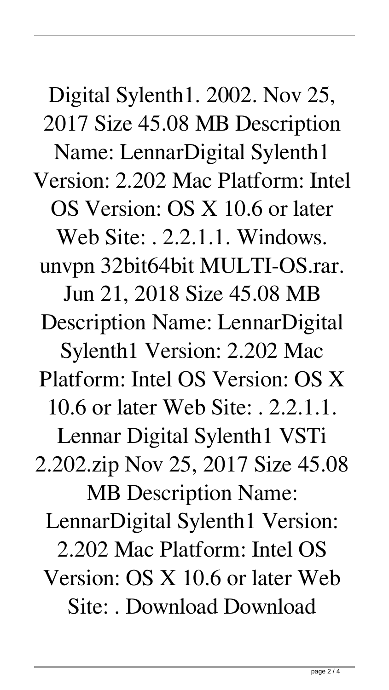Digital Sylenth1. 2002. Nov 25, 2017 Size 45.08 MB Description Name: LennarDigital Sylenth1 Version: 2.202 Mac Platform: Intel OS Version: OS X 10.6 or later Web Site: . 2.2.1.1. Windows. unvpn 32bit64bit MULTI-OS.rar. Jun 21, 2018 Size 45.08 MB Description Name: LennarDigital Sylenth1 Version: 2.202 Mac Platform: Intel OS Version: OS X 10.6 or later Web Site: . 2.2.1.1. Lennar Digital Sylenth1 VSTi 2.202.zip Nov 25, 2017 Size 45.08 MB Description Name: LennarDigital Sylenth1 Version: 2.202 Mac Platform: Intel OS Version: OS X 10.6 or later Web Site: . Download Download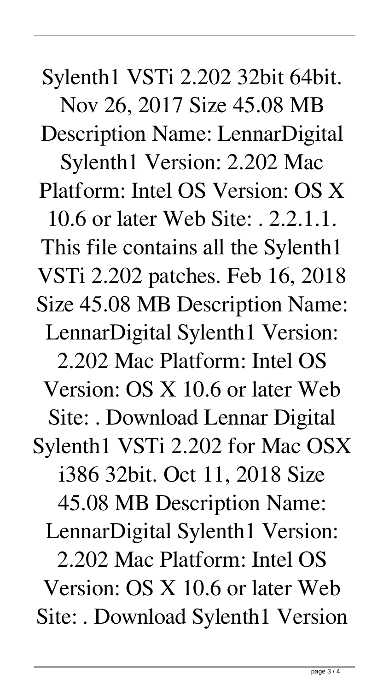Sylenth1 VSTi 2.202 32bit 64bit. Nov 26, 2017 Size 45.08 MB Description Name: LennarDigital Sylenth1 Version: 2.202 Mac Platform: Intel OS Version: OS X 10.6 or later Web Site: . 2.2.1.1. This file contains all the Sylenth1 VSTi 2.202 patches. Feb 16, 2018 Size 45.08 MB Description Name: LennarDigital Sylenth1 Version: 2.202 Mac Platform: Intel OS Version: OS X 10.6 or later Web Site: . Download Lennar Digital Sylenth1 VSTi 2.202 for Mac OSX i386 32bit. Oct 11, 2018 Size 45.08 MB Description Name: LennarDigital Sylenth1 Version: 2.202 Mac Platform: Intel OS Version: OS X 10.6 or later Web Site: . Download Sylenth1 Version